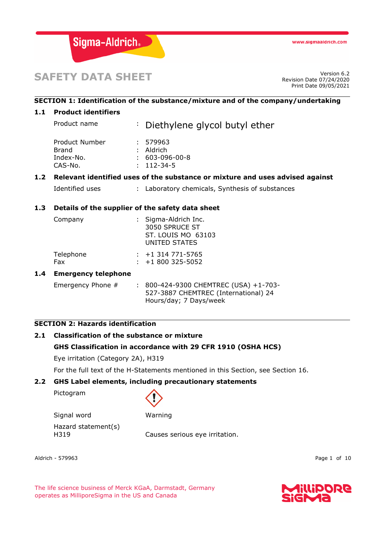

# **SAFETY DATA SHEET**

Revision Date 07/24/2020 Print Date 09/05/2021

# **SECTION 1: Identification of the substance/mixture and of the company/undertaking**

# **1.1 Product identifiers**

|     | Product name                                                                  |  | : Diethylene glycol butyl ether                                                      |  |
|-----|-------------------------------------------------------------------------------|--|--------------------------------------------------------------------------------------|--|
|     | Product Number<br><b>Brand</b><br>Index-No.<br>CAS-No.                        |  | : 579963<br>$:$ Aldrich<br>$: 603-096-00-8$<br>$: 112 - 34 - 5$                      |  |
| 1.2 | Relevant identified uses of the substance or mixture and uses advised against |  |                                                                                      |  |
|     | Identified uses                                                               |  | : Laboratory chemicals, Synthesis of substances                                      |  |
| 1.3 | Details of the supplier of the safety data sheet                              |  |                                                                                      |  |
|     | Company                                                                       |  | : Sigma-Aldrich Inc.<br>3050 SPRUCE ST<br><b>ST. LOUIS MO 63103</b><br>UNITED STATES |  |
|     | Telephone<br>Fax                                                              |  | $: +1314771 - 5765$<br>$\div$ +1 800 325-5052                                        |  |
| 1.4 | <b>Emergency telephone</b>                                                    |  |                                                                                      |  |
|     | Emergency Phone #                                                             |  | : 800-424-9300 CHEMTREC (USA) +1-703-<br>527-3887 CHEMTREC (International) 24        |  |

# **SECTION 2: Hazards identification**

# **2.1 Classification of the substance or mixture**

# **GHS Classification in accordance with 29 CFR 1910 (OSHA HCS)**

Eye irritation (Category 2A), H319

For the full text of the H-Statements mentioned in this Section, see Section 16.

Hours/day; 7 Days/week

# **2.2 GHS Label elements, including precautionary statements**

Pictogram

Signal word Warning Hazard statement(s)

H319 Causes serious eye irritation.

Aldrich - 579963 Page 1 of 10

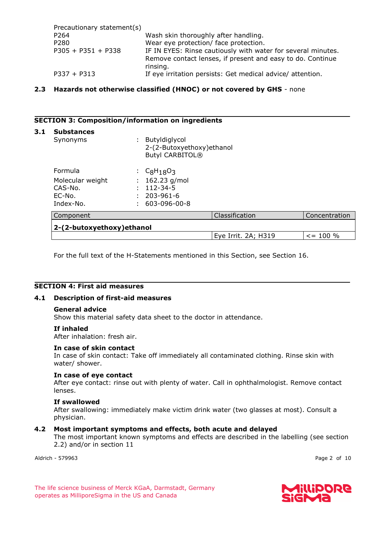| Precautionary statement(s) |                                                              |
|----------------------------|--------------------------------------------------------------|
| P <sub>264</sub>           | Wash skin thoroughly after handling.                         |
| P <sub>280</sub>           | Wear eye protection/ face protection.                        |
| $P305 + P351 + P338$       | IF IN EYES: Rinse cautiously with water for several minutes. |
|                            | Remove contact lenses, if present and easy to do. Continue   |
|                            | rinsing.                                                     |
| $P337 + P313$              | If eye irritation persists: Get medical advice/ attention.   |

# **2.3 Hazards not otherwise classified (HNOC) or not covered by GHS** - none

## **SECTION 3: Composition/information on ingredients**

| 3.1<br><b>Substances</b><br>Butyldiglycol<br>Synonyms<br>÷.<br>2-(2-Butoxyethoxy) ethanol<br><b>Butyl CARBITOL®</b> |  |                 |                     |               |  |
|---------------------------------------------------------------------------------------------------------------------|--|-----------------|---------------------|---------------|--|
| Formula                                                                                                             |  | $C_8H_{18}O_3$  |                     |               |  |
| Molecular weight                                                                                                    |  | 162.23 g/mol    |                     |               |  |
| $CAS-N0$ .                                                                                                          |  | $112 - 34 - 5$  |                     |               |  |
| $EC-N0$ .                                                                                                           |  | $203 - 961 - 6$ |                     |               |  |
| Index-No.                                                                                                           |  | 603-096-00-8    |                     |               |  |
| Component                                                                                                           |  |                 | Classification      | Concentration |  |
| 2-(2-butoxyethoxy) ethanol                                                                                          |  |                 |                     |               |  |
|                                                                                                                     |  |                 | Eye Irrit. 2A; H319 | $\le$ = 100 % |  |

For the full text of the H-Statements mentioned in this Section, see Section 16.

# **SECTION 4: First aid measures**

#### **4.1 Description of first-aid measures**

#### **General advice**

Show this material safety data sheet to the doctor in attendance.

#### **If inhaled**

After inhalation: fresh air.

#### **In case of skin contact**

In case of skin contact: Take off immediately all contaminated clothing. Rinse skin with water/ shower.

#### **In case of eye contact**

After eye contact: rinse out with plenty of water. Call in ophthalmologist. Remove contact lenses.

#### **If swallowed**

After swallowing: immediately make victim drink water (two glasses at most). Consult a physician.

#### **4.2 Most important symptoms and effects, both acute and delayed**

The most important known symptoms and effects are described in the labelling (see section 2.2) and/or in section 11

Aldrich - 579963 Page 2 of 10

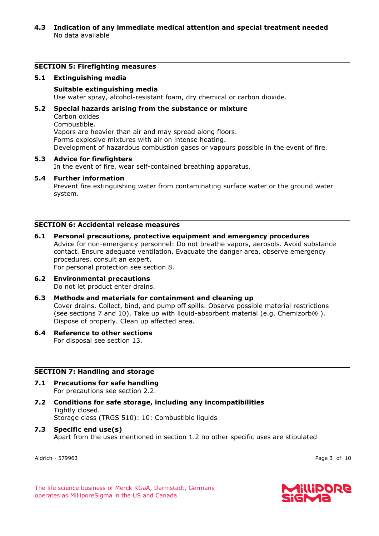# **4.3 Indication of any immediate medical attention and special treatment needed** No data available

# **SECTION 5: Firefighting measures**

#### **5.1 Extinguishing media**

#### **Suitable extinguishing media**

Use water spray, alcohol-resistant foam, dry chemical or carbon dioxide.

## **5.2 Special hazards arising from the substance or mixture**

Carbon oxides

Combustible. Vapors are heavier than air and may spread along floors. Forms explosive mixtures with air on intense heating. Development of hazardous combustion gases or vapours possible in the event of fire.

#### **5.3 Advice for firefighters**

In the event of fire, wear self-contained breathing apparatus.

#### **5.4 Further information** Prevent fire extinguishing water from contaminating surface water or the ground water system.

#### **SECTION 6: Accidental release measures**

#### **6.1 Personal precautions, protective equipment and emergency procedures** Advice for non-emergency personnel: Do not breathe vapors, aerosols. Avoid substance contact. Ensure adequate ventilation. Evacuate the danger area, observe emergency procedures, consult an expert. For personal protection see section 8.

**6.2 Environmental precautions** Do not let product enter drains.

# **6.3 Methods and materials for containment and cleaning up**

Cover drains. Collect, bind, and pump off spills. Observe possible material restrictions (see sections 7 and 10). Take up with liquid-absorbent material (e.g. Chemizorb $\circledR$ ). Dispose of properly. Clean up affected area.

#### **6.4 Reference to other sections** For disposal see section 13.

#### **SECTION 7: Handling and storage**

- **7.1 Precautions for safe handling** For precautions see section 2.2.
- **7.2 Conditions for safe storage, including any incompatibilities** Tightly closed. Storage class (TRGS 510): 10: Combustible liquids
- **7.3 Specific end use(s)** Apart from the uses mentioned in section 1.2 no other specific uses are stipulated

Aldrich - 579963 Page 3 of 10

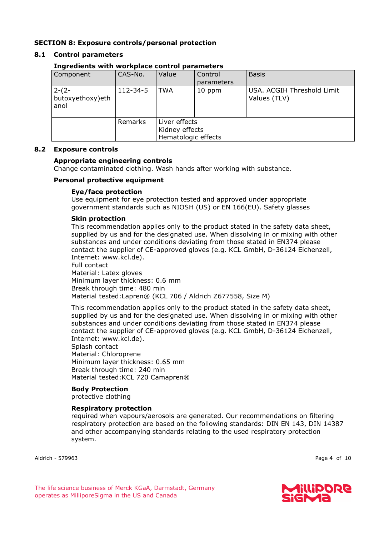# **SECTION 8: Exposure controls/personal protection**

# **8.1 Control parameters**

| Component                           | CAS-No.  | Value                                                  | Control<br>parameters | <b>Basis</b>                               |  |  |
|-------------------------------------|----------|--------------------------------------------------------|-----------------------|--------------------------------------------|--|--|
| $2-(2-$<br>butoxyethoxy)eth<br>anol | 112-34-5 | TWA                                                    | 10 ppm                | USA. ACGIH Threshold Limit<br>Values (TLV) |  |  |
|                                     | Remarks  | Liver effects<br>Kidney effects<br>Hematologic effects |                       |                                            |  |  |

# **Ingredients with workplace control parameters**

# **8.2 Exposure controls**

#### **Appropriate engineering controls**

Change contaminated clothing. Wash hands after working with substance.

#### **Personal protective equipment**

## **Eye/face protection**

Use equipment for eye protection tested and approved under appropriate government standards such as NIOSH (US) or EN 166(EU). Safety glasses

#### **Skin protection**

This recommendation applies only to the product stated in the safety data sheet, supplied by us and for the designated use. When dissolving in or mixing with other substances and under conditions deviating from those stated in EN374 please contact the supplier of CE-approved gloves (e.g. KCL GmbH, D-36124 Eichenzell, Internet: www.kcl.de).

Full contact Material: Latex gloves Minimum layer thickness: 0.6 mm Break through time: 480 min Material tested:Lapren® (KCL 706 / Aldrich Z677558, Size M)

This recommendation applies only to the product stated in the safety data sheet, supplied by us and for the designated use. When dissolving in or mixing with other substances and under conditions deviating from those stated in EN374 please contact the supplier of CE-approved gloves (e.g. KCL GmbH, D-36124 Eichenzell, Internet: www.kcl.de).

Splash contact Material: Chloroprene Minimum layer thickness: 0.65 mm Break through time: 240 min Material tested:KCL 720 Camapren®

#### **Body Protection**

protective clothing

#### **Respiratory protection**

required when vapours/aerosols are generated. Our recommendations on filtering respiratory protection are based on the following standards: DIN EN 143, DIN 14387 and other accompanying standards relating to the used respiratory protection system.

Aldrich - 579963 Page 4 of 10

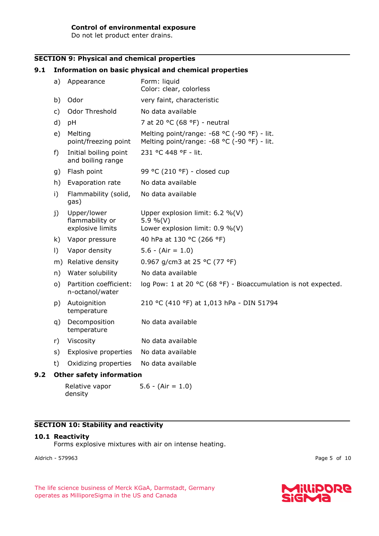# **Control of environmental exposure**

Do not let product enter drains.

# **SECTION 9: Physical and chemical properties**

# **9.1 Information on basic physical and chemical properties**

| a)                              | Appearance                                         | Form: liquid<br>Color: clear, colorless                                                    |  |  |
|---------------------------------|----------------------------------------------------|--------------------------------------------------------------------------------------------|--|--|
| b)                              | Odor                                               | very faint, characteristic                                                                 |  |  |
| c)                              | Odor Threshold                                     | No data available                                                                          |  |  |
| d)                              | pH                                                 | 7 at 20 °C (68 °F) - neutral                                                               |  |  |
| e)                              | Melting<br>point/freezing point                    | Melting point/range: -68 °C (-90 °F) - lit.<br>Melting point/range: -68 °C (-90 °F) - lit. |  |  |
| f)                              | Initial boiling point<br>and boiling range         | 231 °C 448 °F - lit.                                                                       |  |  |
| g)                              | Flash point                                        | 99 °C (210 °F) - closed cup                                                                |  |  |
| h)                              | Evaporation rate                                   | No data available                                                                          |  |  |
| i)                              | Flammability (solid,<br>gas)                       | No data available                                                                          |  |  |
| j)                              | Upper/lower<br>flammability or<br>explosive limits | Upper explosion limit: $6.2 \%$ (V)<br>5.9 %(V)<br>Lower explosion limit: $0.9 \%$ (V)     |  |  |
| k)                              | Vapor pressure                                     | 40 hPa at 130 °C (266 °F)                                                                  |  |  |
| $\vert$ )                       | Vapor density                                      | $5.6 - (Air = 1.0)$                                                                        |  |  |
|                                 | m) Relative density                                | 0.967 g/cm3 at 25 °C (77 °F)                                                               |  |  |
| n)                              | Water solubility                                   | No data available                                                                          |  |  |
| $\circ$ )                       | Partition coefficient:<br>n-octanol/water          | log Pow: 1 at 20 °C (68 °F) - Bioaccumulation is not expected.                             |  |  |
| p)                              | Autoignition<br>temperature                        | 210 °C (410 °F) at 1,013 hPa - DIN 51794                                                   |  |  |
| q)                              | Decomposition<br>temperature                       | No data available                                                                          |  |  |
| r)                              | Viscosity                                          | No data available                                                                          |  |  |
| s)                              | Explosive properties                               | No data available                                                                          |  |  |
| t)                              | Oxidizing properties                               | No data available                                                                          |  |  |
| <b>Other safety information</b> |                                                    |                                                                                            |  |  |
|                                 | Relative vapor                                     | $5.6 - (Air = 1.0)$                                                                        |  |  |

# **SECTION 10: Stability and reactivity**

# **10.1 Reactivity**

density

Forms explosive mixtures with air on intense heating.

Aldrich - 579963 Page 5 of 10

**9.2 Other safety information**

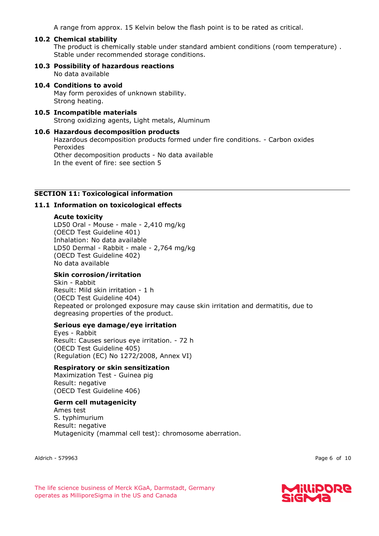A range from approx. 15 Kelvin below the flash point is to be rated as critical.

# **10.2 Chemical stability**

The product is chemically stable under standard ambient conditions (room temperature) . Stable under recommended storage conditions.

#### **10.3 Possibility of hazardous reactions** No data available

# **10.4 Conditions to avoid** May form peroxides of unknown stability.

Strong heating.

#### **10.5 Incompatible materials** Strong oxidizing agents, Light metals, Aluminum

#### **10.6 Hazardous decomposition products**

Hazardous decomposition products formed under fire conditions. - Carbon oxides Peroxides Other decomposition products - No data available In the event of fire: see section 5

# **SECTION 11: Toxicological information**

# **11.1 Information on toxicological effects**

#### **Acute toxicity**

LD50 Oral - Mouse - male - 2,410 mg/kg (OECD Test Guideline 401) Inhalation: No data available LD50 Dermal - Rabbit - male - 2,764 mg/kg (OECD Test Guideline 402) No data available

# **Skin corrosion/irritation**

Skin - Rabbit Result: Mild skin irritation - 1 h (OECD Test Guideline 404) Repeated or prolonged exposure may cause skin irritation and dermatitis, due to degreasing properties of the product.

#### **Serious eye damage/eye irritation**

Eyes - Rabbit Result: Causes serious eye irritation. - 72 h (OECD Test Guideline 405) (Regulation (EC) No 1272/2008, Annex VI)

# **Respiratory or skin sensitization**

Maximization Test - Guinea pig Result: negative (OECD Test Guideline 406)

#### **Germ cell mutagenicity**

Ames test S. typhimurium Result: negative Mutagenicity (mammal cell test): chromosome aberration.

Aldrich - 579963 Page 6 of 10

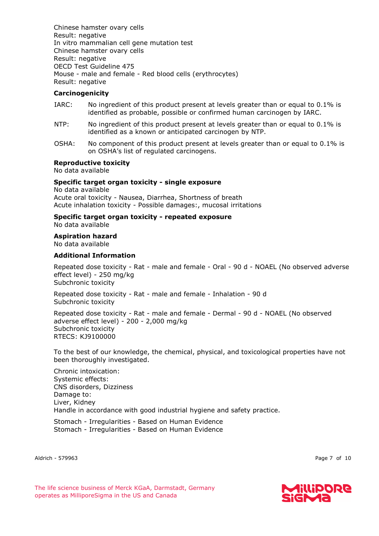Chinese hamster ovary cells Result: negative In vitro mammalian cell gene mutation test Chinese hamster ovary cells Result: negative OECD Test Guideline 475 Mouse - male and female - Red blood cells (erythrocytes) Result: negative

# **Carcinogenicity**

- IARC: No ingredient of this product present at levels greater than or equal to 0.1% is identified as probable, possible or confirmed human carcinogen by IARC.
- NTP: No ingredient of this product present at levels greater than or equal to 0.1% is identified as a known or anticipated carcinogen by NTP.
- OSHA: No component of this product present at levels greater than or equal to 0.1% is on OSHA's list of regulated carcinogens.

# **Reproductive toxicity**

No data available

# **Specific target organ toxicity - single exposure**

No data available Acute oral toxicity - Nausea, Diarrhea, Shortness of breath Acute inhalation toxicity - Possible damages:, mucosal irritations

#### **Specific target organ toxicity - repeated exposure** No data available

#### **Aspiration hazard**

No data available

#### **Additional Information**

Repeated dose toxicity - Rat - male and female - Oral - 90 d - NOAEL (No observed adverse effect level) - 250 mg/kg Subchronic toxicity

Repeated dose toxicity - Rat - male and female - Inhalation - 90 d Subchronic toxicity

Repeated dose toxicity - Rat - male and female - Dermal - 90 d - NOAEL (No observed adverse effect level) - 200 - 2,000 mg/kg Subchronic toxicity RTECS: KJ9100000

To the best of our knowledge, the chemical, physical, and toxicological properties have not been thoroughly investigated.

Chronic intoxication: Systemic effects: CNS disorders, Dizziness Damage to: Liver, Kidney Handle in accordance with good industrial hygiene and safety practice.

Stomach - Irregularities - Based on Human Evidence Stomach - Irregularities - Based on Human Evidence

Aldrich - 579963 Page 7 of 10

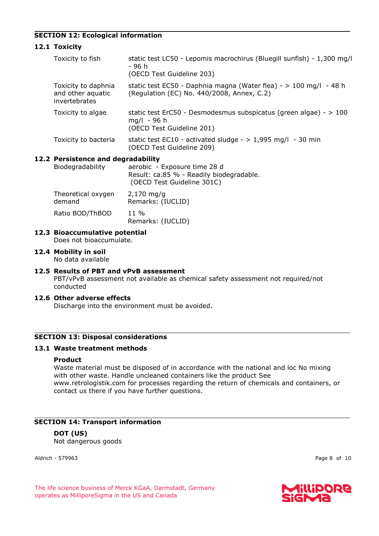# **SECTION 12: Ecological information**

# **12.1 Toxicity**

| Toxicity to fish                                          | static test LC50 - Lepomis macrochirus (Bluegill sunfish) - 1,300 mg/l<br>- 96 h<br>(OECD Test Guideline 203)     |  |  |  |
|-----------------------------------------------------------|-------------------------------------------------------------------------------------------------------------------|--|--|--|
| Toxicity to daphnia<br>and other aquatic<br>invertebrates | static test EC50 - Daphnia magna (Water flea) - $> 100$ mg/l - 48 h<br>(Regulation (EC) No. 440/2008, Annex, C.2) |  |  |  |
| Toxicity to algae                                         | static test ErC50 - Desmodesmus subspicatus (green algae) - $>100$<br>$mq/l - 96 h$<br>(OECD Test Guideline 201)  |  |  |  |
| Toxicity to bacteria                                      | static test EC10 - activated sludge - $> 1,995$ mg/l - 30 min<br>(OECD Test Guideline 209)                        |  |  |  |
| Riodogradability                                          | <b>Persistence and degradability</b><br>parabic - Evnocuro timo 28 d                                              |  |  |  |

# **12.2 Persistence and degradability**

| Biodegradability | aerobic - Exposure time 28 d             |
|------------------|------------------------------------------|
|                  | Result: ca.85 % - Readily biodegradable. |
|                  | (OECD Test Guideline 301C)               |

| Theoretical oxygen | $2,170$ mg/g              |
|--------------------|---------------------------|
| demand             | Remarks: (IUCLID)         |
| Ratio BOD/ThBOD    | 11 %<br>Remarks: (IUCLID) |

# **12.3 Bioaccumulative potential**

Does not bioaccumulate.

#### **12.4 Mobility in soil**

No data available

# **12.5 Results of PBT and vPvB assessment**

PBT/vPvB assessment not available as chemical safety assessment not required/not conducted

#### **12.6 Other adverse effects**

Discharge into the environment must be avoided.

# **SECTION 13: Disposal considerations**

# **13.1 Waste treatment methods**

## **Product**

Waste material must be disposed of in accordance with the national and loc No mixing with other waste. Handle uncleaned containers like the product See www.retrologistik.com for processes regarding the return of chemicals and containers, or contact us there if you have further questions.

# **SECTION 14: Transport information**

# **DOT (US)**

Not dangerous goods

Aldrich - 579963 Page 8 of 10

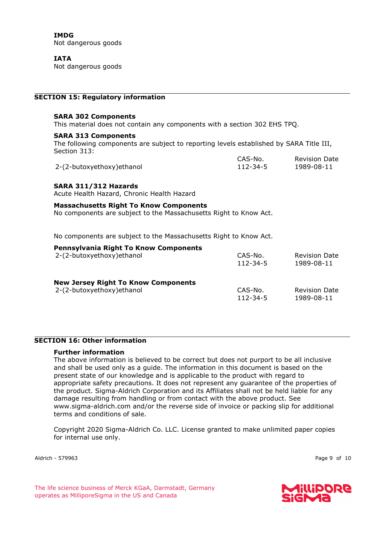**IMDG** Not dangerous goods

**IATA** Not dangerous goods

## **SECTION 15: Regulatory information**

#### **SARA 302 Components**

This material does not contain any components with a section 302 EHS TPQ.

#### **SARA 313 Components**

The following components are subject to reporting levels established by SARA Title III, Section 313: CAS-No.

|                            | CAS-No.  | <b>Revision Date</b> |
|----------------------------|----------|----------------------|
| 2-(2-butoxyethoxy) ethanol | 112-34-5 | 1989-08-11           |

# **SARA 311/312 Hazards**

Acute Health Hazard, Chronic Health Hazard

#### **Massachusetts Right To Know Components**

No components are subject to the Massachusetts Right to Know Act.

No components are subject to the Massachusetts Right to Know Act.

| <b>Pennsylvania Right To Know Components</b> | CAS-No.        | <b>Revision Date</b> |
|----------------------------------------------|----------------|----------------------|
| 2-(2-butoxyethoxy) ethanol                   | $112 - 34 - 5$ | 1989-08-11           |
| <b>New Jersey Right To Know Components</b>   | CAS-No.        | <b>Revision Date</b> |
| 2-(2-butoxyethoxy) ethanol                   | $112 - 34 - 5$ | 1989-08-11           |

# **SECTION 16: Other information**

# **Further information**

The above information is believed to be correct but does not purport to be all inclusive and shall be used only as a guide. The information in this document is based on the present state of our knowledge and is applicable to the product with regard to appropriate safety precautions. It does not represent any guarantee of the properties of the product. Sigma-Aldrich Corporation and its Affiliates shall not be held liable for any damage resulting from handling or from contact with the above product. See www.sigma-aldrich.com and/or the reverse side of invoice or packing slip for additional terms and conditions of sale.

Copyright 2020 Sigma-Aldrich Co. LLC. License granted to make unlimited paper copies for internal use only.

Aldrich - 579963 Page 9 of 10